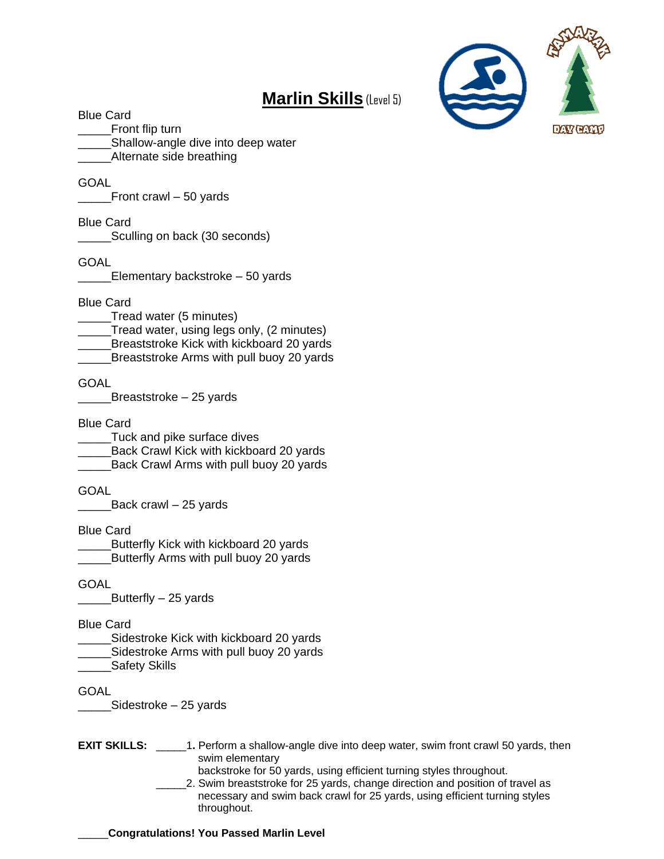# **Marlin Skills** (Level 5)



#### Blue Card

\_\_\_\_\_Front flip turn \_Shallow-angle dive into deep water Alternate side breathing

#### GOAL

\_\_\_\_\_Front crawl – 50 yards

#### Blue Card

\_\_\_\_\_Sculling on back (30 seconds)

#### **GOAL**

\_\_\_\_\_Elementary backstroke – 50 yards

#### Blue Card

- \_\_\_\_\_Tread water (5 minutes)
- \_\_\_\_\_Tread water, using legs only, (2 minutes)
- Breaststroke Kick with kickboard 20 yards
- Breaststroke Arms with pull buoy 20 yards

#### GOAL

\_\_\_\_\_Breaststroke – 25 yards

#### Blue Card

\_\_\_\_\_Tuck and pike surface dives \_\_\_\_\_Back Crawl Kick with kickboard 20 yards \_Back Crawl Arms with pull buoy 20 yards

#### GOAL

 $\Box$  Back crawl – 25 yards

#### Blue Card

Butterfly Kick with kickboard 20 yards \_\_\_\_\_Butterfly Arms with pull buoy 20 yards

#### GOAL

Butterfly – 25 yards

#### Blue Card

\_\_\_\_\_Sidestroke Kick with kickboard 20 yards Sidestroke Arms with pull buoy 20 yards Safety Skills

#### **GOAL**

Sidestroke – 25 yards

- **EXIT SKILLS:** \_\_\_\_\_\_1. Perform a shallow-angle dive into deep water, swim front crawl 50 yards, then swim elementary
	- backstroke for 50 yards, using efficient turning styles throughout.
	- \_\_\_\_\_2. Swim breaststroke for 25 yards, change direction and position of travel as necessary and swim back crawl for 25 yards, using efficient turning styles throughout.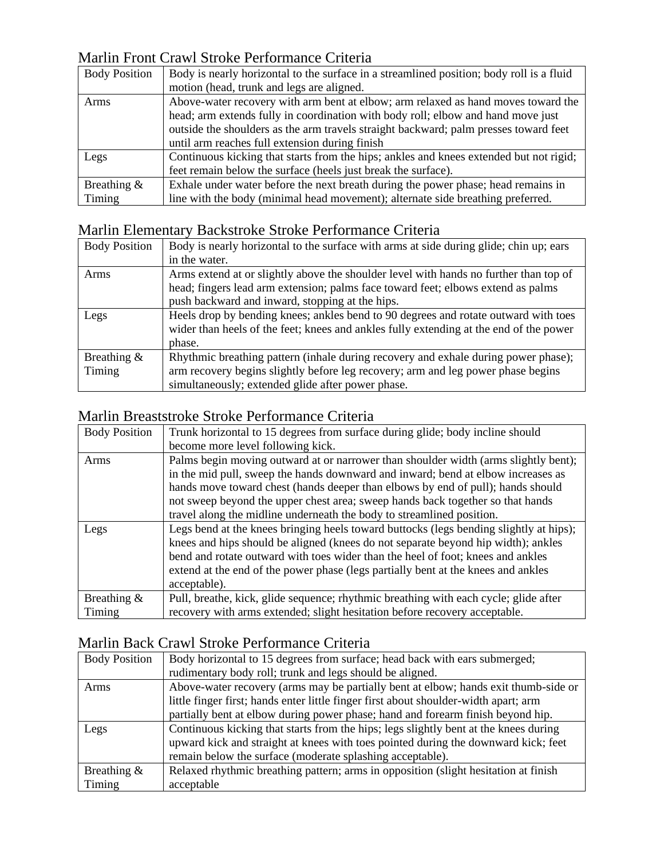# Marlin Front Crawl Stroke Performance Criteria

| <b>Body Position</b>     | Body is nearly horizontal to the surface in a streamlined position; body roll is a fluid<br>motion (head, trunk and legs are aligned.                                                                                                                                                                           |
|--------------------------|-----------------------------------------------------------------------------------------------------------------------------------------------------------------------------------------------------------------------------------------------------------------------------------------------------------------|
| Arms                     | Above-water recovery with arm bent at elbow; arm relaxed as hand moves toward the<br>head; arm extends fully in coordination with body roll; elbow and hand move just<br>outside the shoulders as the arm travels straight backward; palm presses toward feet<br>until arm reaches full extension during finish |
| Legs                     | Continuous kicking that starts from the hips; ankles and knees extended but not rigid;<br>feet remain below the surface (heels just break the surface).                                                                                                                                                         |
| Breathing $\&$<br>Timing | Exhale under water before the next breath during the power phase; head remains in<br>line with the body (minimal head movement); alternate side breathing preferred.                                                                                                                                            |

### Marlin Elementary Backstroke Stroke Performance Criteria

| <b>Body Position</b> | Body is nearly horizontal to the surface with arms at side during glide; chin up; ears |
|----------------------|----------------------------------------------------------------------------------------|
|                      | in the water.                                                                          |
| Arms                 | Arms extend at or slightly above the shoulder level with hands no further than top of  |
|                      | head; fingers lead arm extension; palms face toward feet; elbows extend as palms       |
|                      | push backward and inward, stopping at the hips.                                        |
| Legs                 | Heels drop by bending knees; ankles bend to 90 degrees and rotate outward with toes    |
|                      | wider than heels of the feet; knees and ankles fully extending at the end of the power |
|                      | phase.                                                                                 |
| Breathing $\&$       | Rhythmic breathing pattern (inhale during recovery and exhale during power phase);     |
| Timing               | arm recovery begins slightly before leg recovery; arm and leg power phase begins       |
|                      | simultaneously; extended glide after power phase.                                      |

### Marlin Breaststroke Stroke Performance Criteria

| <b>Body Position</b> | Trunk horizontal to 15 degrees from surface during glide; body incline should          |
|----------------------|----------------------------------------------------------------------------------------|
|                      | become more level following kick.                                                      |
| Arms                 | Palms begin moving outward at or narrower than shoulder width (arms slightly bent);    |
|                      | in the mid pull, sweep the hands downward and inward; bend at elbow increases as       |
|                      | hands move toward chest (hands deeper than elbows by end of pull); hands should        |
|                      | not sweep beyond the upper chest area; sweep hands back together so that hands         |
|                      | travel along the midline underneath the body to streamlined position.                  |
| Legs                 | Legs bend at the knees bringing heels toward buttocks (legs bending slightly at hips); |
|                      | knees and hips should be aligned (knees do not separate beyond hip width); ankles      |
|                      | bend and rotate outward with toes wider than the heel of foot; knees and ankles        |
|                      | extend at the end of the power phase (legs partially bent at the knees and ankles      |
|                      | acceptable).                                                                           |
| Breathing $\&$       | Pull, breathe, kick, glide sequence; rhythmic breathing with each cycle; glide after   |
| Timing               | recovery with arms extended; slight hesitation before recovery acceptable.             |

# Marlin Back Crawl Stroke Performance Criteria

| <b>Body Position</b> | Body horizontal to 15 degrees from surface; head back with ears submerged;           |
|----------------------|--------------------------------------------------------------------------------------|
|                      | rudimentary body roll; trunk and legs should be aligned.                             |
| Arms                 | Above-water recovery (arms may be partially bent at elbow; hands exit thumb-side or  |
|                      | little finger first; hands enter little finger first about shoulder-width apart; arm |
|                      | partially bent at elbow during power phase; hand and forearm finish beyond hip.      |
| Legs                 | Continuous kicking that starts from the hips; legs slightly bent at the knees during |
|                      | upward kick and straight at knees with toes pointed during the downward kick; feet   |
|                      | remain below the surface (moderate splashing acceptable).                            |
| Breathing $\&$       | Relaxed rhythmic breathing pattern; arms in opposition (slight hesitation at finish  |
| Timing               | acceptable                                                                           |